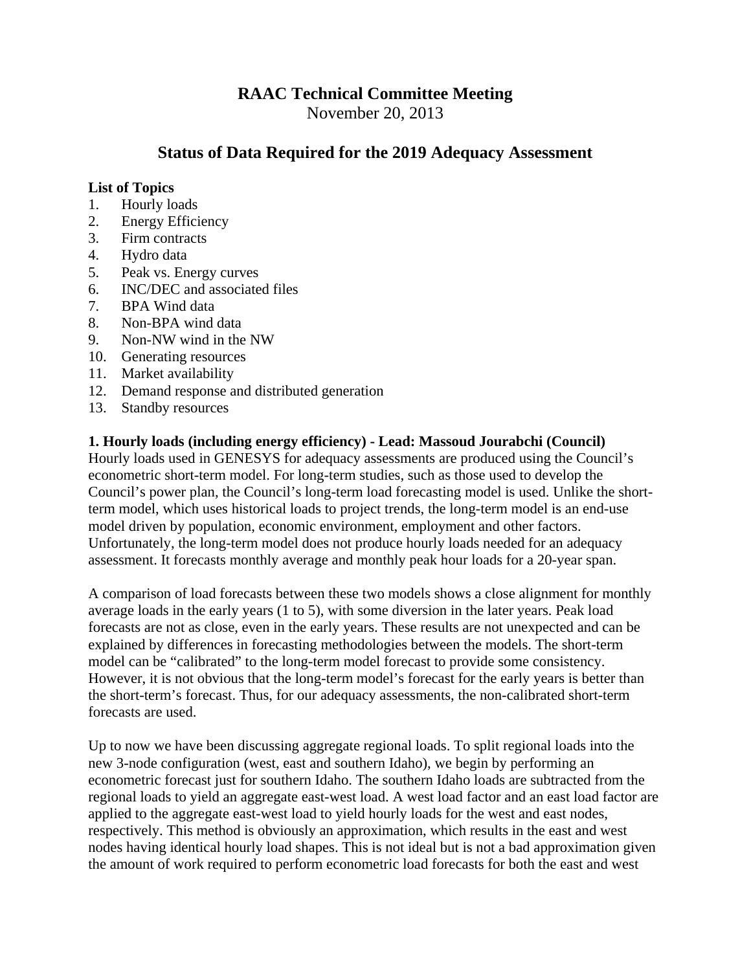# **RAAC Technical Committee Meeting**

November 20, 2013

# **Status of Data Required for the 2019 Adequacy Assessment**

#### **List of Topics**

- 1. Hourly loads
- 2. Energy Efficiency
- 3. Firm contracts
- 4. Hydro data
- 5. Peak vs. Energy curves
- 6. INC/DEC and associated files
- 7. BPA Wind data
- 8. Non-BPA wind data
- 9. Non-NW wind in the NW
- 10. Generating resources
- 11. Market availability
- 12. Demand response and distributed generation
- 13. Standby resources

#### **1. Hourly loads (including energy efficiency) - Lead: Massoud Jourabchi (Council)**

Hourly loads used in GENESYS for adequacy assessments are produced using the Council's econometric short-term model. For long-term studies, such as those used to develop the Council's power plan, the Council's long-term load forecasting model is used. Unlike the shortterm model, which uses historical loads to project trends, the long-term model is an end-use model driven by population, economic environment, employment and other factors. Unfortunately, the long-term model does not produce hourly loads needed for an adequacy assessment. It forecasts monthly average and monthly peak hour loads for a 20-year span.

A comparison of load forecasts between these two models shows a close alignment for monthly average loads in the early years (1 to 5), with some diversion in the later years. Peak load forecasts are not as close, even in the early years. These results are not unexpected and can be explained by differences in forecasting methodologies between the models. The short-term model can be "calibrated" to the long-term model forecast to provide some consistency. However, it is not obvious that the long-term model's forecast for the early years is better than the short-term's forecast. Thus, for our adequacy assessments, the non-calibrated short-term forecasts are used.

Up to now we have been discussing aggregate regional loads. To split regional loads into the new 3-node configuration (west, east and southern Idaho), we begin by performing an econometric forecast just for southern Idaho. The southern Idaho loads are subtracted from the regional loads to yield an aggregate east-west load. A west load factor and an east load factor are applied to the aggregate east-west load to yield hourly loads for the west and east nodes, respectively. This method is obviously an approximation, which results in the east and west nodes having identical hourly load shapes. This is not ideal but is not a bad approximation given the amount of work required to perform econometric load forecasts for both the east and west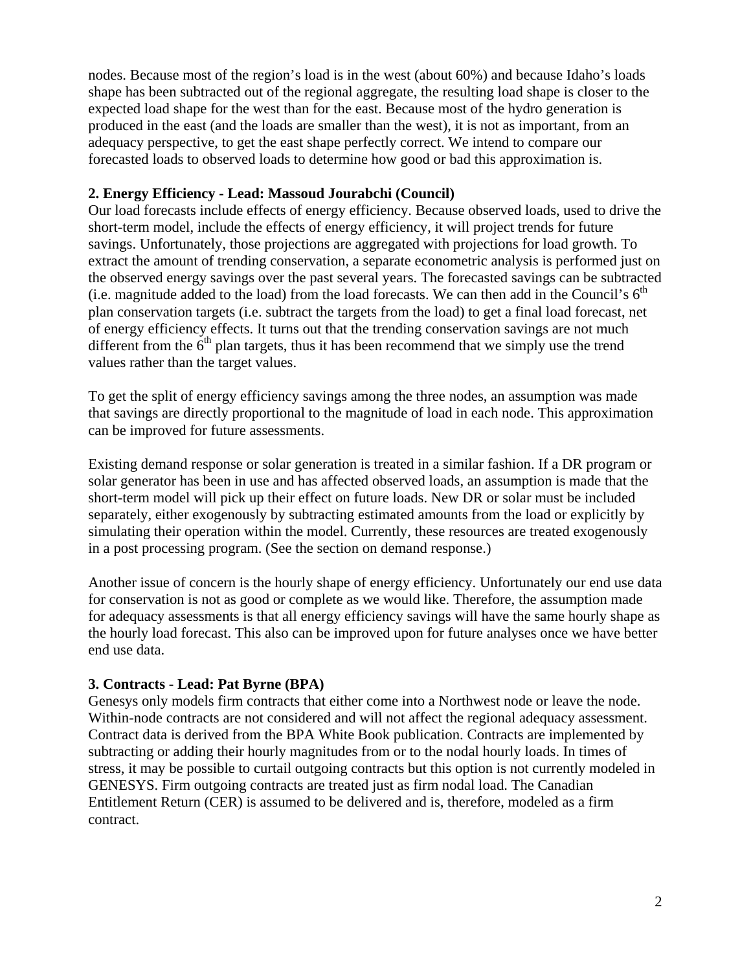nodes. Because most of the region's load is in the west (about 60%) and because Idaho's loads shape has been subtracted out of the regional aggregate, the resulting load shape is closer to the expected load shape for the west than for the east. Because most of the hydro generation is produced in the east (and the loads are smaller than the west), it is not as important, from an adequacy perspective, to get the east shape perfectly correct. We intend to compare our forecasted loads to observed loads to determine how good or bad this approximation is.

#### **2. Energy Efficiency - Lead: Massoud Jourabchi (Council)**

Our load forecasts include effects of energy efficiency. Because observed loads, used to drive the short-term model, include the effects of energy efficiency, it will project trends for future savings. Unfortunately, those projections are aggregated with projections for load growth. To extract the amount of trending conservation, a separate econometric analysis is performed just on the observed energy savings over the past several years. The forecasted savings can be subtracted (i.e. magnitude added to the load) from the load forecasts. We can then add in the Council's  $6<sup>th</sup>$ plan conservation targets (i.e. subtract the targets from the load) to get a final load forecast, net of energy efficiency effects. It turns out that the trending conservation savings are not much different from the  $6<sup>th</sup>$  plan targets, thus it has been recommend that we simply use the trend values rather than the target values.

To get the split of energy efficiency savings among the three nodes, an assumption was made that savings are directly proportional to the magnitude of load in each node. This approximation can be improved for future assessments.

Existing demand response or solar generation is treated in a similar fashion. If a DR program or solar generator has been in use and has affected observed loads, an assumption is made that the short-term model will pick up their effect on future loads. New DR or solar must be included separately, either exogenously by subtracting estimated amounts from the load or explicitly by simulating their operation within the model. Currently, these resources are treated exogenously in a post processing program. (See the section on demand response.)

Another issue of concern is the hourly shape of energy efficiency. Unfortunately our end use data for conservation is not as good or complete as we would like. Therefore, the assumption made for adequacy assessments is that all energy efficiency savings will have the same hourly shape as the hourly load forecast. This also can be improved upon for future analyses once we have better end use data.

### **3. Contracts - Lead: Pat Byrne (BPA)**

Genesys only models firm contracts that either come into a Northwest node or leave the node. Within-node contracts are not considered and will not affect the regional adequacy assessment. Contract data is derived from the BPA White Book publication. Contracts are implemented by subtracting or adding their hourly magnitudes from or to the nodal hourly loads. In times of stress, it may be possible to curtail outgoing contracts but this option is not currently modeled in GENESYS. Firm outgoing contracts are treated just as firm nodal load. The Canadian Entitlement Return (CER) is assumed to be delivered and is, therefore, modeled as a firm contract.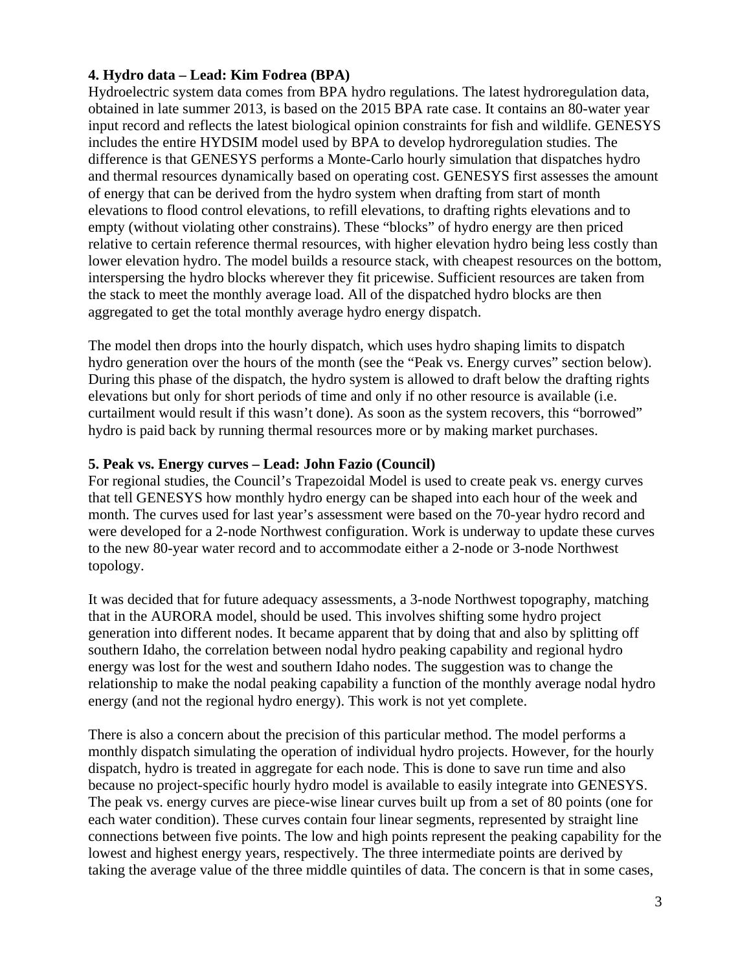### **4. Hydro data – Lead: Kim Fodrea (BPA)**

Hydroelectric system data comes from BPA hydro regulations. The latest hydroregulation data, obtained in late summer 2013, is based on the 2015 BPA rate case. It contains an 80-water year input record and reflects the latest biological opinion constraints for fish and wildlife. GENESYS includes the entire HYDSIM model used by BPA to develop hydroregulation studies. The difference is that GENESYS performs a Monte-Carlo hourly simulation that dispatches hydro and thermal resources dynamically based on operating cost. GENESYS first assesses the amount of energy that can be derived from the hydro system when drafting from start of month elevations to flood control elevations, to refill elevations, to drafting rights elevations and to empty (without violating other constrains). These "blocks" of hydro energy are then priced relative to certain reference thermal resources, with higher elevation hydro being less costly than lower elevation hydro. The model builds a resource stack, with cheapest resources on the bottom, interspersing the hydro blocks wherever they fit pricewise. Sufficient resources are taken from the stack to meet the monthly average load. All of the dispatched hydro blocks are then aggregated to get the total monthly average hydro energy dispatch.

The model then drops into the hourly dispatch, which uses hydro shaping limits to dispatch hydro generation over the hours of the month (see the "Peak vs. Energy curves" section below). During this phase of the dispatch, the hydro system is allowed to draft below the drafting rights elevations but only for short periods of time and only if no other resource is available (i.e. curtailment would result if this wasn't done). As soon as the system recovers, this "borrowed" hydro is paid back by running thermal resources more or by making market purchases.

### **5. Peak vs. Energy curves – Lead: John Fazio (Council)**

For regional studies, the Council's Trapezoidal Model is used to create peak vs. energy curves that tell GENESYS how monthly hydro energy can be shaped into each hour of the week and month. The curves used for last year's assessment were based on the 70-year hydro record and were developed for a 2-node Northwest configuration. Work is underway to update these curves to the new 80-year water record and to accommodate either a 2-node or 3-node Northwest topology.

It was decided that for future adequacy assessments, a 3-node Northwest topography, matching that in the AURORA model, should be used. This involves shifting some hydro project generation into different nodes. It became apparent that by doing that and also by splitting off southern Idaho, the correlation between nodal hydro peaking capability and regional hydro energy was lost for the west and southern Idaho nodes. The suggestion was to change the relationship to make the nodal peaking capability a function of the monthly average nodal hydro energy (and not the regional hydro energy). This work is not yet complete.

There is also a concern about the precision of this particular method. The model performs a monthly dispatch simulating the operation of individual hydro projects. However, for the hourly dispatch, hydro is treated in aggregate for each node. This is done to save run time and also because no project-specific hourly hydro model is available to easily integrate into GENESYS. The peak vs. energy curves are piece-wise linear curves built up from a set of 80 points (one for each water condition). These curves contain four linear segments, represented by straight line connections between five points. The low and high points represent the peaking capability for the lowest and highest energy years, respectively. The three intermediate points are derived by taking the average value of the three middle quintiles of data. The concern is that in some cases,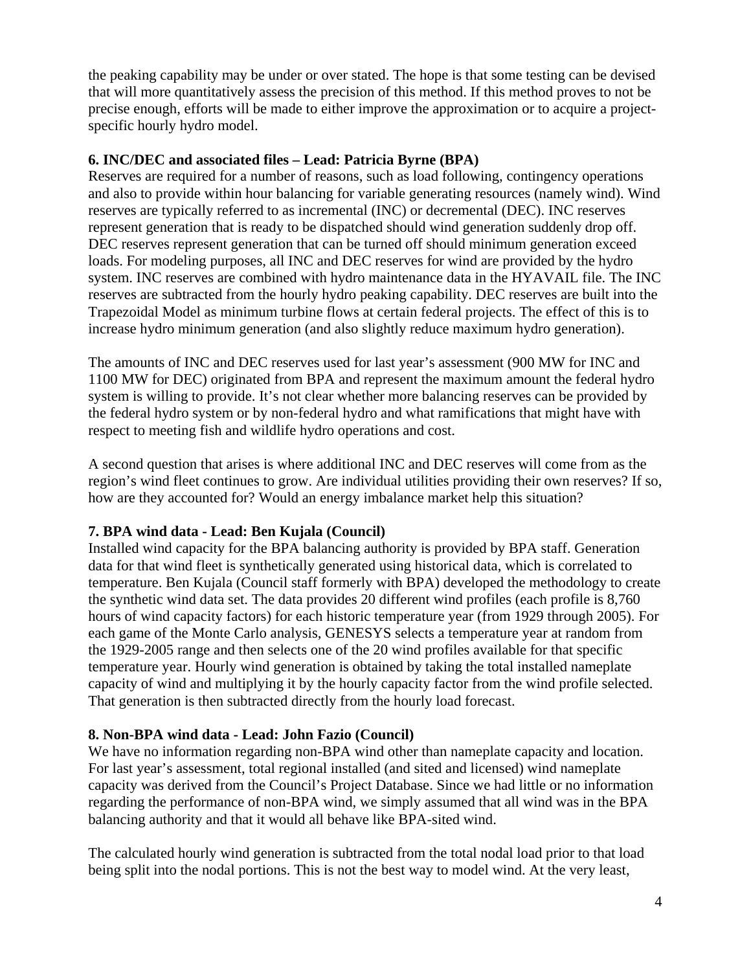the peaking capability may be under or over stated. The hope is that some testing can be devised that will more quantitatively assess the precision of this method. If this method proves to not be precise enough, efforts will be made to either improve the approximation or to acquire a projectspecific hourly hydro model.

#### **6. INC/DEC and associated files – Lead: Patricia Byrne (BPA)**

Reserves are required for a number of reasons, such as load following, contingency operations and also to provide within hour balancing for variable generating resources (namely wind). Wind reserves are typically referred to as incremental (INC) or decremental (DEC). INC reserves represent generation that is ready to be dispatched should wind generation suddenly drop off. DEC reserves represent generation that can be turned off should minimum generation exceed loads. For modeling purposes, all INC and DEC reserves for wind are provided by the hydro system. INC reserves are combined with hydro maintenance data in the HYAVAIL file. The INC reserves are subtracted from the hourly hydro peaking capability. DEC reserves are built into the Trapezoidal Model as minimum turbine flows at certain federal projects. The effect of this is to increase hydro minimum generation (and also slightly reduce maximum hydro generation).

The amounts of INC and DEC reserves used for last year's assessment (900 MW for INC and 1100 MW for DEC) originated from BPA and represent the maximum amount the federal hydro system is willing to provide. It's not clear whether more balancing reserves can be provided by the federal hydro system or by non-federal hydro and what ramifications that might have with respect to meeting fish and wildlife hydro operations and cost.

A second question that arises is where additional INC and DEC reserves will come from as the region's wind fleet continues to grow. Are individual utilities providing their own reserves? If so, how are they accounted for? Would an energy imbalance market help this situation?

### **7. BPA wind data - Lead: Ben Kujala (Council)**

Installed wind capacity for the BPA balancing authority is provided by BPA staff. Generation data for that wind fleet is synthetically generated using historical data, which is correlated to temperature. Ben Kujala (Council staff formerly with BPA) developed the methodology to create the synthetic wind data set. The data provides 20 different wind profiles (each profile is 8,760 hours of wind capacity factors) for each historic temperature year (from 1929 through 2005). For each game of the Monte Carlo analysis, GENESYS selects a temperature year at random from the 1929-2005 range and then selects one of the 20 wind profiles available for that specific temperature year. Hourly wind generation is obtained by taking the total installed nameplate capacity of wind and multiplying it by the hourly capacity factor from the wind profile selected. That generation is then subtracted directly from the hourly load forecast.

### **8. Non-BPA wind data - Lead: John Fazio (Council)**

We have no information regarding non-BPA wind other than nameplate capacity and location. For last year's assessment, total regional installed (and sited and licensed) wind nameplate capacity was derived from the Council's Project Database. Since we had little or no information regarding the performance of non-BPA wind, we simply assumed that all wind was in the BPA balancing authority and that it would all behave like BPA-sited wind.

The calculated hourly wind generation is subtracted from the total nodal load prior to that load being split into the nodal portions. This is not the best way to model wind. At the very least,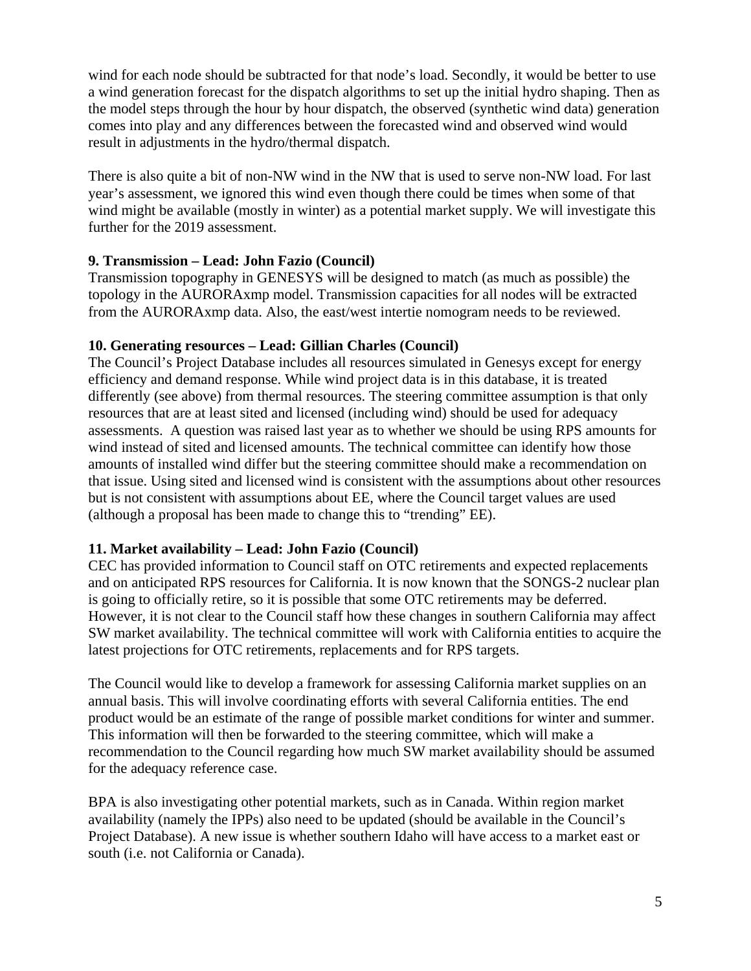wind for each node should be subtracted for that node's load. Secondly, it would be better to use a wind generation forecast for the dispatch algorithms to set up the initial hydro shaping. Then as the model steps through the hour by hour dispatch, the observed (synthetic wind data) generation comes into play and any differences between the forecasted wind and observed wind would result in adjustments in the hydro/thermal dispatch.

There is also quite a bit of non-NW wind in the NW that is used to serve non-NW load. For last year's assessment, we ignored this wind even though there could be times when some of that wind might be available (mostly in winter) as a potential market supply. We will investigate this further for the 2019 assessment.

### **9. Transmission – Lead: John Fazio (Council)**

Transmission topography in GENESYS will be designed to match (as much as possible) the topology in the AURORAxmp model. Transmission capacities for all nodes will be extracted from the AURORAxmp data. Also, the east/west intertie nomogram needs to be reviewed.

### **10. Generating resources – Lead: Gillian Charles (Council)**

The Council's Project Database includes all resources simulated in Genesys except for energy efficiency and demand response. While wind project data is in this database, it is treated differently (see above) from thermal resources. The steering committee assumption is that only resources that are at least sited and licensed (including wind) should be used for adequacy assessments. A question was raised last year as to whether we should be using RPS amounts for wind instead of sited and licensed amounts. The technical committee can identify how those amounts of installed wind differ but the steering committee should make a recommendation on that issue. Using sited and licensed wind is consistent with the assumptions about other resources but is not consistent with assumptions about EE, where the Council target values are used (although a proposal has been made to change this to "trending" EE).

# **11. Market availability – Lead: John Fazio (Council)**

CEC has provided information to Council staff on OTC retirements and expected replacements and on anticipated RPS resources for California. It is now known that the SONGS-2 nuclear plan is going to officially retire, so it is possible that some OTC retirements may be deferred. However, it is not clear to the Council staff how these changes in southern California may affect SW market availability. The technical committee will work with California entities to acquire the latest projections for OTC retirements, replacements and for RPS targets.

The Council would like to develop a framework for assessing California market supplies on an annual basis. This will involve coordinating efforts with several California entities. The end product would be an estimate of the range of possible market conditions for winter and summer. This information will then be forwarded to the steering committee, which will make a recommendation to the Council regarding how much SW market availability should be assumed for the adequacy reference case.

BPA is also investigating other potential markets, such as in Canada. Within region market availability (namely the IPPs) also need to be updated (should be available in the Council's Project Database). A new issue is whether southern Idaho will have access to a market east or south (i.e. not California or Canada).